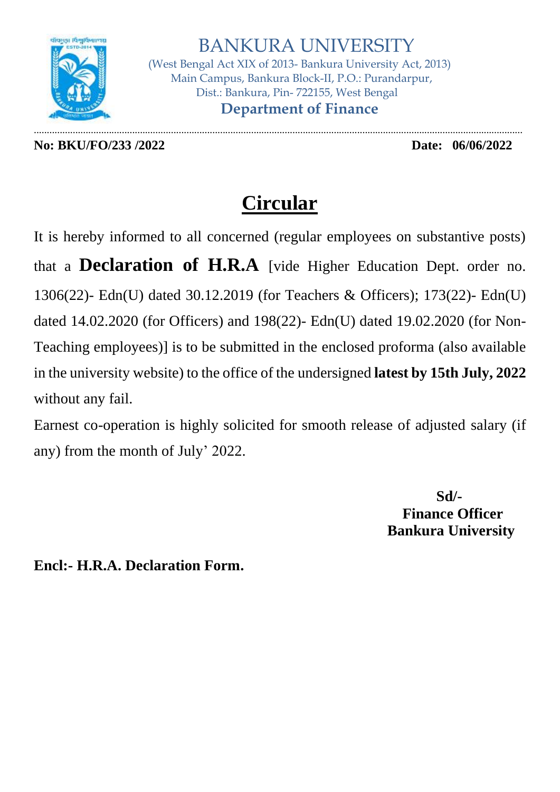

 BANKURA UNIVERSITY (West Bengal Act XIX of 2013- Bankura University Act, 2013) Main Campus, Bankura Block-II, P.O.: Purandarpur, Dist.: Bankura, Pin- 722155, West Bengal  **Department of Finance**

**No: BKU/FO/233 /2022 Date: 06/06/2022**

.............................................................................................................................................................................................

## **Circular**

It is hereby informed to all concerned (regular employees on substantive posts) that a **Declaration of H.R.A** [vide Higher Education Dept. order no. 1306(22)- Edn(U) dated 30.12.2019 (for Teachers & Officers); 173(22)- Edn(U) dated 14.02.2020 (for Officers) and 198(22)- Edn(U) dated 19.02.2020 (for Non-Teaching employees)] is to be submitted in the enclosed proforma (also available in the university website) to the office of the undersigned **latest by 15th July, 2022** without any fail.

Earnest co-operation is highly solicited for smooth release of adjusted salary (if any) from the month of July' 2022.

> **Sd/- Finance Officer Bankura University**

**Encl:- H.R.A. Declaration Form.**